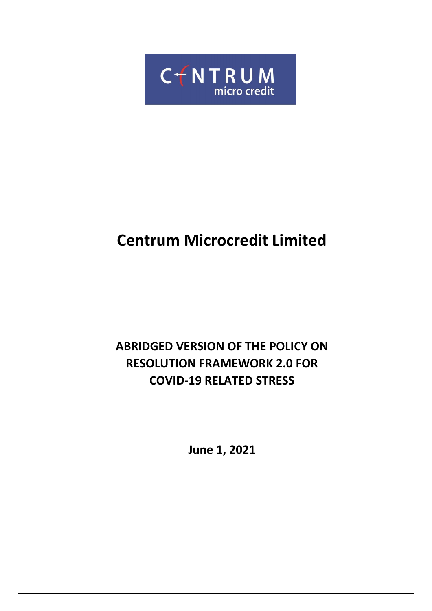

# **Centrum Microcredit Limited**

## **ABRIDGED VERSION OF THE POLICY ON RESOLUTION FRAMEWORK 2.0 FOR COVID-19 RELATED STRESS**

**June 1, 2021**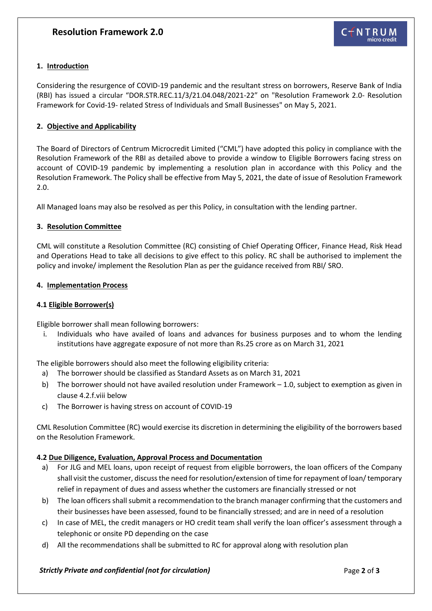#### **1. Introduction**

Considering the resurgence of COVID-19 pandemic and the resultant stress on borrowers, Reserve Bank of India (RBI) has issued a circular "DOR.STR.REC.11/3/21.04.048/2021-22" on "Resolution Framework 2.0- Resolution Framework for Covid-19- related Stress of Individuals and Small Businesses" on May 5, 2021.

#### **2. Objective and Applicability**

The Board of Directors of Centrum Microcredit Limited ("CML") have adopted this policy in compliance with the Resolution Framework of the RBI as detailed above to provide a window to Eligible Borrowers facing stress on account of COVID-19 pandemic by implementing a resolution plan in accordance with this Policy and the Resolution Framework. The Policy shall be effective from May 5, 2021, the date of issue of Resolution Framework 2.0.

All Managed loans may also be resolved as per this Policy, in consultation with the lending partner.

#### **3. Resolution Committee**

CML will constitute a Resolution Committee (RC) consisting of Chief Operating Officer, Finance Head, Risk Head and Operations Head to take all decisions to give effect to this policy. RC shall be authorised to implement the policy and invoke/ implement the Resolution Plan as per the guidance received from RBI/ SRO.

#### **4. Implementation Process**

#### **4.1 Eligible Borrower(s)**

Eligible borrower shall mean following borrowers:

i. Individuals who have availed of loans and advances for business purposes and to whom the lending institutions have aggregate exposure of not more than Rs.25 crore as on March 31, 2021

The eligible borrowers should also meet the following eligibility criteria:

- a) The borrower should be classified as Standard Assets as on March 31, 2021
- b) The borrower should not have availed resolution under Framework 1.0, subject to exemption as given in clause 4.2.f.viii below
- c) The Borrower is having stress on account of COVID-19

CML Resolution Committee (RC) would exercise its discretion in determining the eligibility of the borrowers based on the Resolution Framework.

#### **4.2 Due Diligence, Evaluation, Approval Process and Documentation**

- a) For JLG and MEL loans, upon receipt of request from eligible borrowers, the loan officers of the Company shall visit the customer, discuss the need for resolution/extension of time for repayment of loan/ temporary relief in repayment of dues and assess whether the customers are financially stressed or not
- b) The loan officers shall submit a recommendation to the branch manager confirming that the customers and their businesses have been assessed, found to be financially stressed; and are in need of a resolution
- c) In case of MEL, the credit managers or HO credit team shall verify the loan officer's assessment through a telephonic or onsite PD depending on the case
- d) All the recommendations shall be submitted to RC for approval along with resolution plan

#### *Strictly Private and confidential (not for circulation)*